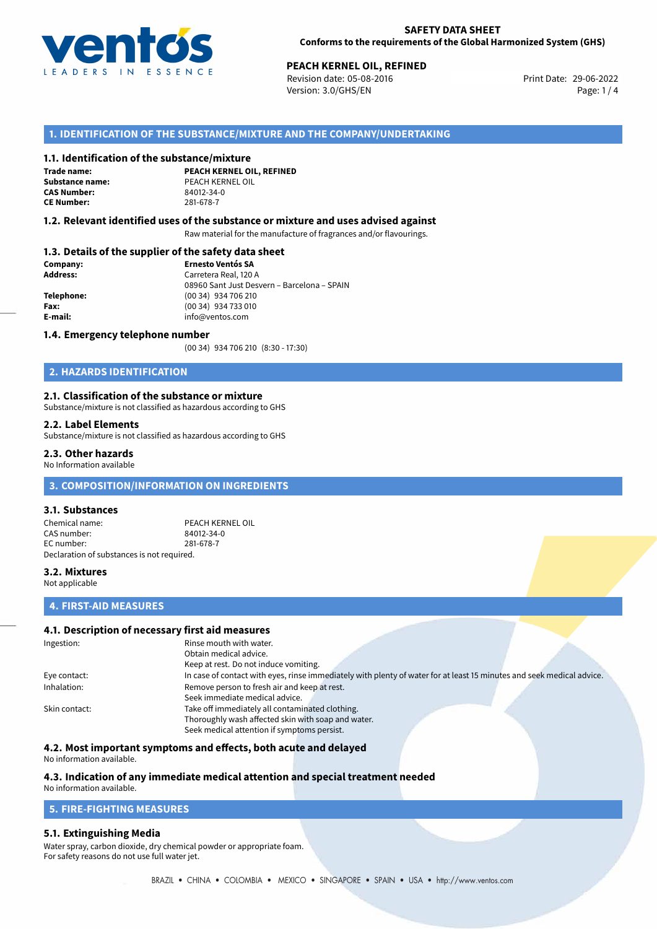

# **PEACH KERNEL OIL, REFINED**<br>
Revision date: 05-08-2016<br> **Print Date: 29-06-2022**

Revision date: 05-08-2016 Version: 3.0/GHS/EN Page: 1 / 4

# **1. IDENTIFICATION OF THE SUBSTANCE/MIXTURE AND THE COMPANY/UNDERTAKING**

#### **1.1. Identification of the substance/mixture**

**Trade name: CAS Number: CE Number:** 281-678-7

**PEACH KERNEL OIL, REFINED Substance name:** PEACH KERNEL OIL<br> **CAS Number:** 84012-34-0

#### **1.2. Relevant identified uses of the substance or mixture and uses advised against**

Raw material for the manufacture of fragrances and/or flavourings.

### **1.3. Details of the supplier of the safety data sheet**

| Company:        | <b>Ernesto Ventós SA</b>                    |  |
|-----------------|---------------------------------------------|--|
| <b>Address:</b> | Carretera Real, 120 A                       |  |
|                 | 08960 Sant Just Desvern - Barcelona - SPAIN |  |
| Telephone:      | (00 34) 934 706 210                         |  |
| Fax:            | (00 34) 934 733 010                         |  |
| E-mail:         | info@ventos.com                             |  |
|                 |                                             |  |

#### **1.4. Emergency telephone number**

(00 34) 934 706 210 (8:30 - 17:30)

# **2. HAZARDS IDENTIFICATION**

#### **2.1. Classification of the substance or mixture**

Substance/mixture is not classified as hazardous according to GHS

#### **2.2. Label Elements**

Substance/mixture is not classified as hazardous according to GHS

#### **2.3. Other hazards**

No Information available

# **3. COMPOSITION/INFORMATION ON INGREDIENTS**

#### **3.1. Substances**

Chemical name: PEACH KERNEL OIL<br>CAS number: 84012-34-0 CAS number: EC number: 281-678-7 Declaration of substances is not required.

## **3.2. Mixtures**

Not applicable

## **4. FIRST-AID MEASURES**

# **4.1. Description of necessary first aid measures**

| Ingestion:    | Rinse mouth with water.                                                                                               |  |  |
|---------------|-----------------------------------------------------------------------------------------------------------------------|--|--|
|               | Obtain medical advice.                                                                                                |  |  |
|               | Keep at rest. Do not induce vomiting.                                                                                 |  |  |
| Eye contact:  | In case of contact with eyes, rinse immediately with plenty of water for at least 15 minutes and seek medical advice. |  |  |
| Inhalation:   | Remove person to fresh air and keep at rest.                                                                          |  |  |
|               | Seek immediate medical advice.                                                                                        |  |  |
| Skin contact: | Take off immediately all contaminated clothing.                                                                       |  |  |
|               | Thoroughly wash affected skin with soap and water.                                                                    |  |  |
|               | Seek medical attention if symptoms persist.                                                                           |  |  |

# **4.2. Most important symptoms and effects, both acute and delayed**

No information available.

# **4.3. Indication of any immediate medical attention and special treatment needed**

# No information available.

# **5. FIRE-FIGHTING MEASURES**

## **5.1. Extinguishing Media**

Water spray, carbon dioxide, dry chemical powder or appropriate foam. For safety reasons do not use full water jet.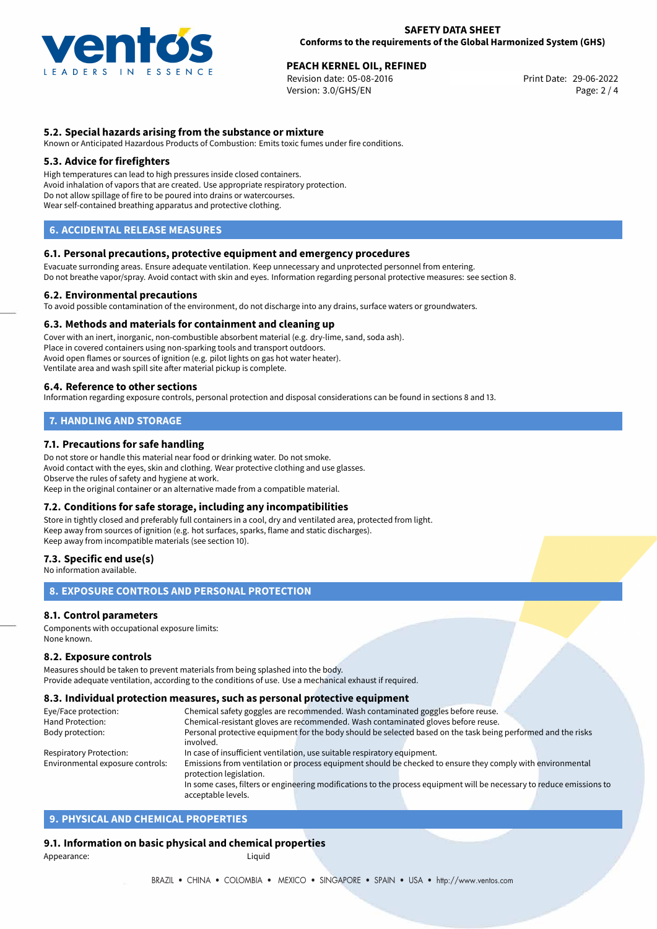

# **PEACH KERNEL OIL, REFINED**<br>
Revision date: 05-08-2016<br> **Print Date: 29-06-2022**

Revision date: 05-08-2016 Version: 3.0/GHS/EN Page: 2 / 4

# **5.2. Special hazards arising from the substance or mixture**

Known or Anticipated Hazardous Products of Combustion: Emits toxic fumes under fire conditions.

### **5.3. Advice for firefighters**

High temperatures can lead to high pressures inside closed containers. Avoid inhalation of vapors that are created. Use appropriate respiratory protection. Do not allow spillage of fire to be poured into drains or watercourses. Wear self-contained breathing apparatus and protective clothing.

# **6. ACCIDENTAL RELEASE MEASURES**

#### **6.1. Personal precautions, protective equipment and emergency procedures**

Evacuate surronding areas. Ensure adequate ventilation. Keep unnecessary and unprotected personnel from entering. Do not breathe vapor/spray. Avoid contact with skin and eyes. Information regarding personal protective measures: see section 8.

#### **6.2. Environmental precautions**

To avoid possible contamination of the environment, do not discharge into any drains, surface waters or groundwaters.

#### **6.3. Methods and materials for containment and cleaning up**

Cover with an inert, inorganic, non-combustible absorbent material (e.g. dry-lime, sand, soda ash). Place in covered containers using non-sparking tools and transport outdoors. Avoid open flames or sources of ignition (e.g. pilot lights on gas hot water heater). Ventilate area and wash spill site after material pickup is complete.

#### **6.4. Reference to other sections**

Information regarding exposure controls, personal protection and disposal considerations can be found in sections 8 and 13.

# **7. HANDLING AND STORAGE**

# **7.1. Precautions for safe handling**

Do not store or handle this material near food or drinking water. Do not smoke. Avoid contact with the eyes, skin and clothing. Wear protective clothing and use glasses. Observe the rules of safety and hygiene at work. Keep in the original container or an alternative made from a compatible material.

## **7.2. Conditions for safe storage, including any incompatibilities**

Store in tightly closed and preferably full containers in a cool, dry and ventilated area, protected from light. Keep away from sources of ignition (e.g. hot surfaces, sparks, flame and static discharges). Keep away from incompatible materials (see section 10).

#### **7.3. Specific end use(s)**

No information available.

# **8. EXPOSURE CONTROLS AND PERSONAL PROTECTION**

## **8.1. Control parameters**

Components with occupational exposure limits: None known.

#### **8.2. Exposure controls**

Measures should be taken to prevent materials from being splashed into the body. Provide adequate ventilation, according to the conditions of use. Use a mechanical exhaust if required.

#### **8.3. Individual protection measures, such as personal protective equipment**

acceptable levels.

| Eye/Face protection:             | Chemical safety goggles are recommended. Wash contaminated goggles before reuse.                                      |  |  |  |  |
|----------------------------------|-----------------------------------------------------------------------------------------------------------------------|--|--|--|--|
| Hand Protection:                 | Chemical-resistant gloves are recommended. Wash contaminated gloves before reuse.                                     |  |  |  |  |
| Body protection:                 | Personal protective equipment for the body should be selected based on the task being performed and the risks         |  |  |  |  |
|                                  | involved.                                                                                                             |  |  |  |  |
| <b>Respiratory Protection:</b>   | In case of insufficient ventilation, use suitable respiratory equipment.                                              |  |  |  |  |
| Environmental exposure controls: | Emissions from ventilation or process equipment should be checked to ensure they comply with environmental            |  |  |  |  |
|                                  | protection legislation.                                                                                               |  |  |  |  |
|                                  | In some cases, filters or engineering modifications to the process equipment will be necessary to reduce emissions to |  |  |  |  |
|                                  |                                                                                                                       |  |  |  |  |

# **9. PHYSICAL AND CHEMICAL PROPERTIES**

## **9.1. Information on basic physical and chemical properties**

Appearance: Liquid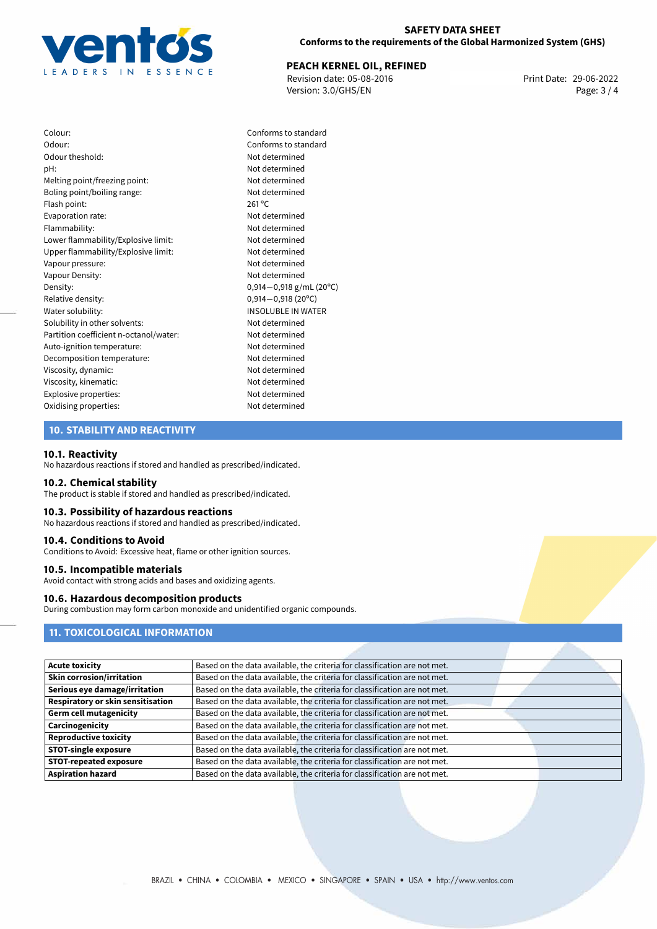

### **SAFETY DATA SHEET Conforms to the requirements of the Global Harmonized System (GHS)**

# **PEACH KERNEL OIL, REFINED**<br>
Revision date: 05-08-2016<br>
Print Date: 29-06-2022

Revision date: 05-08-2016 Version: 3.0/GHS/EN Page: 3 / 4

Colour: Conforms to standard Odour: Conforms to standard Odour theshold: Not determined pH: Not determined Melting point/freezing point: Not determined Boling point/boiling range: Not determined Flash point: 261 °C Evaporation rate: Not determined Flammability: Not determined Lower flammability/Explosive limit: Not determined Upper flammability/Explosive limit: Not determined Vapour pressure: Not determined Vapour Density: Not determined Density: 0,914−0,918 g/mL (20°C)<br>Relative density: 0,914−0,918 (20°C) Relative density: 0,914−0,918 (20°C)<br>Water solubility: 0,914−0,918 (20°C) Solubility in other solvents: Not determined Partition coefficient n-octanol/water: Not determined Auto-ignition temperature: Not determined Decomposition temperature: Not determined Viscosity, dynamic: Not determined Viscosity, kinematic: Not determined Explosive properties: Not determined Oxidising properties: Not determined

**INSOLUBLE IN WATER** 

# **10. STABILITY AND REACTIVITY**

#### **10.1. Reactivity**

No hazardous reactions if stored and handled as prescribed/indicated.

#### **10.2. Chemical stability**

The product is stable if stored and handled as prescribed/indicated.

### **10.3. Possibility of hazardous reactions**

No hazardous reactions if stored and handled as prescribed/indicated.

#### **10.4. Conditions to Avoid**

Conditions to Avoid: Excessive heat, flame or other ignition sources.

#### **10.5. Incompatible materials**

Avoid contact with strong acids and bases and oxidizing agents.

# **10.6. Hazardous decomposition products**

During combustion may form carbon monoxide and unidentified organic compounds.

# **11. TOXICOLOGICAL INFORMATION**

| <b>Acute toxicity</b>             | Based on the data available, the criteria for classification are not met. |
|-----------------------------------|---------------------------------------------------------------------------|
| <b>Skin corrosion/irritation</b>  | Based on the data available, the criteria for classification are not met. |
| Serious eye damage/irritation     | Based on the data available, the criteria for classification are not met. |
| Respiratory or skin sensitisation | Based on the data available, the criteria for classification are not met. |
| <b>Germ cell mutagenicity</b>     | Based on the data available, the criteria for classification are not met. |
| Carcinogenicity                   | Based on the data available, the criteria for classification are not met. |
| <b>Reproductive toxicity</b>      | Based on the data available, the criteria for classification are not met. |
| <b>STOT-single exposure</b>       | Based on the data available, the criteria for classification are not met. |
| <b>STOT-repeated exposure</b>     | Based on the data available, the criteria for classification are not met. |
| <b>Aspiration hazard</b>          | Based on the data available, the criteria for classification are not met. |
|                                   |                                                                           |